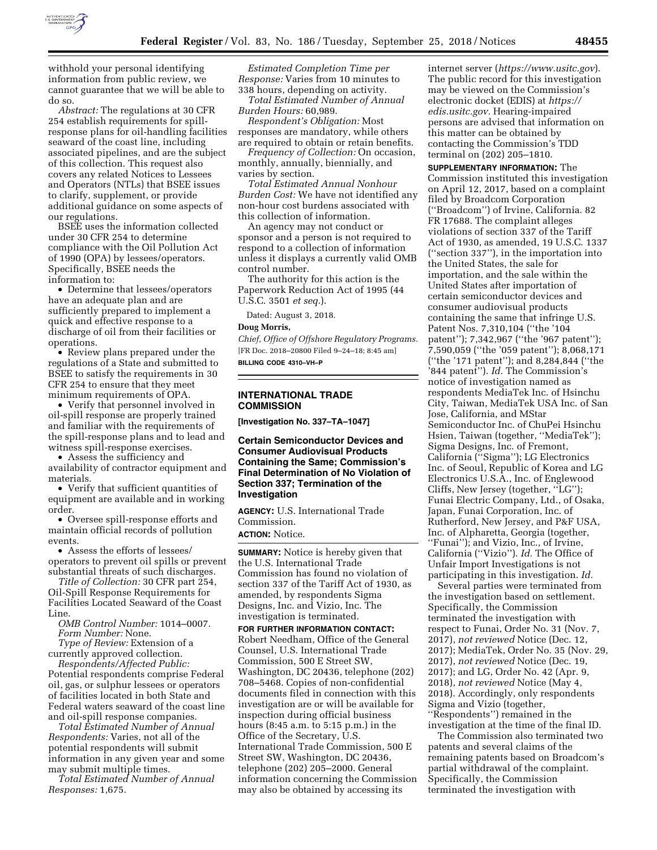

withhold your personal identifying information from public review, we cannot guarantee that we will be able to do so.

*Abstract:* The regulations at 30 CFR 254 establish requirements for spillresponse plans for oil-handling facilities seaward of the coast line, including associated pipelines, and are the subject of this collection. This request also covers any related Notices to Lessees and Operators (NTLs) that BSEE issues to clarify, supplement, or provide additional guidance on some aspects of our regulations.

BSEE uses the information collected under 30 CFR 254 to determine compliance with the Oil Pollution Act of 1990 (OPA) by lessees/operators. Specifically, BSEE needs the information to:

• Determine that lessees/operators have an adequate plan and are sufficiently prepared to implement a quick and effective response to a discharge of oil from their facilities or operations.

• Review plans prepared under the regulations of a State and submitted to BSEE to satisfy the requirements in 30 CFR 254 to ensure that they meet minimum requirements of OPA.

• Verify that personnel involved in oil-spill response are properly trained and familiar with the requirements of the spill-response plans and to lead and witness spill-response exercises.

• Assess the sufficiency and availability of contractor equipment and materials.

• Verify that sufficient quantities of equipment are available and in working order.

• Oversee spill-response efforts and maintain official records of pollution events.

• Assess the efforts of lessees/ operators to prevent oil spills or prevent substantial threats of such discharges.

*Title of Collection:* 30 CFR part 254, Oil-Spill Response Requirements for Facilities Located Seaward of the Coast Line.

*OMB Control Number:* 1014–0007. *Form Number:* None.

*Type of Review:* Extension of a currently approved collection.

*Respondents/Affected Public:*  Potential respondents comprise Federal oil, gas, or sulphur lessees or operators of facilities located in both State and Federal waters seaward of the coast line and oil-spill response companies.

*Total Estimated Number of Annual Respondents:* Varies, not all of the potential respondents will submit information in any given year and some may submit multiple times.

*Total Estimated Number of Annual Responses:* 1,675.

*Estimated Completion Time per Response:* Varies from 10 minutes to 338 hours, depending on activity.

*Total Estimated Number of Annual Burden Hours:* 60,989.

*Respondent's Obligation:* Most responses are mandatory, while others are required to obtain or retain benefits.

*Frequency of Collection:* On occasion, monthly, annually, biennially, and varies by section.

*Total Estimated Annual Nonhour Burden Cost:* We have not identified any non-hour cost burdens associated with this collection of information.

An agency may not conduct or sponsor and a person is not required to respond to a collection of information unless it displays a currently valid OMB control number.

The authority for this action is the Paperwork Reduction Act of 1995 (44 U.S.C. 3501 *et seq.*).

Dated: August 3, 2018.

#### **Doug Morris,**

*Chief, Office of Offshore Regulatory Programs.*  [FR Doc. 2018–20800 Filed 9–24–18; 8:45 am] **BILLING CODE 4310–VH–P** 

### **INTERNATIONAL TRADE COMMISSION**

**[Investigation No. 337–TA–1047]** 

**Certain Semiconductor Devices and Consumer Audiovisual Products Containing the Same; Commission's Final Determination of No Violation of Section 337; Termination of the Investigation** 

**AGENCY:** U.S. International Trade Commission.

# **ACTION:** Notice.

**SUMMARY:** Notice is hereby given that the U.S. International Trade Commission has found no violation of section 337 of the Tariff Act of 1930, as amended, by respondents Sigma Designs, Inc. and Vizio, Inc. The investigation is terminated.

**FOR FURTHER INFORMATION CONTACT:**  Robert Needham, Office of the General Counsel, U.S. International Trade Commission, 500 E Street SW, Washington, DC 20436, telephone (202) 708–5468. Copies of non-confidential documents filed in connection with this investigation are or will be available for inspection during official business hours (8:45 a.m. to 5:15 p.m.) in the Office of the Secretary, U.S. International Trade Commission, 500 E Street SW, Washington, DC 20436, telephone (202) 205–2000. General information concerning the Commission may also be obtained by accessing its

internet server (*<https://www.usitc.gov>*). The public record for this investigation may be viewed on the Commission's electronic docket (EDIS) at *[https://](https://edis.usitc.gov) [edis.usitc.gov.](https://edis.usitc.gov)* Hearing-impaired persons are advised that information on this matter can be obtained by contacting the Commission's TDD terminal on (202) 205–1810.

**SUPPLEMENTARY INFORMATION:** The Commission instituted this investigation on April 12, 2017, based on a complaint filed by Broadcom Corporation (''Broadcom'') of Irvine, California. 82 FR 17688. The complaint alleges violations of section 337 of the Tariff Act of 1930, as amended, 19 U.S.C. 1337 (''section 337''), in the importation into the United States, the sale for importation, and the sale within the United States after importation of certain semiconductor devices and consumer audiovisual products containing the same that infringe U.S. Patent Nos. 7,310,104 (''the '104 patent''); 7,342,967 (''the '967 patent''); 7,590,059 (''the '059 patent''); 8,068,171 (''the '171 patent''); and 8,284,844 (''the '844 patent''). *Id.* The Commission's notice of investigation named as respondents MediaTek Inc. of Hsinchu City, Taiwan, MediaTek USA Inc. of San Jose, California, and MStar Semiconductor Inc. of ChuPei Hsinchu Hsien, Taiwan (together, ''MediaTek''); Sigma Designs, Inc. of Fremont, California (''Sigma''); LG Electronics Inc. of Seoul, Republic of Korea and LG Electronics U.S.A., Inc. of Englewood Cliffs, New Jersey (together, ''LG''); Funai Electric Company, Ltd., of Osaka, Japan, Funai Corporation, Inc. of Rutherford, New Jersey, and P&F USA, Inc. of Alpharetta, Georgia (together, ''Funai''); and Vizio, Inc., of Irvine, California (''Vizio''). *Id.* The Office of Unfair Import Investigations is not participating in this investigation. *Id.* 

Several parties were terminated from the investigation based on settlement. Specifically, the Commission terminated the investigation with respect to Funai, Order No. 31 (Nov. 7, 2017), *not reviewed* Notice (Dec. 12, 2017); MediaTek, Order No. 35 (Nov. 29, 2017), *not reviewed* Notice (Dec. 19, 2017); and LG, Order No. 42 (Apr. 9, 2018), *not reviewed* Notice (May 4, 2018). Accordingly, only respondents Sigma and Vizio (together, ''Respondents'') remained in the investigation at the time of the final ID.

The Commission also terminated two patents and several claims of the remaining patents based on Broadcom's partial withdrawal of the complaint. Specifically, the Commission terminated the investigation with